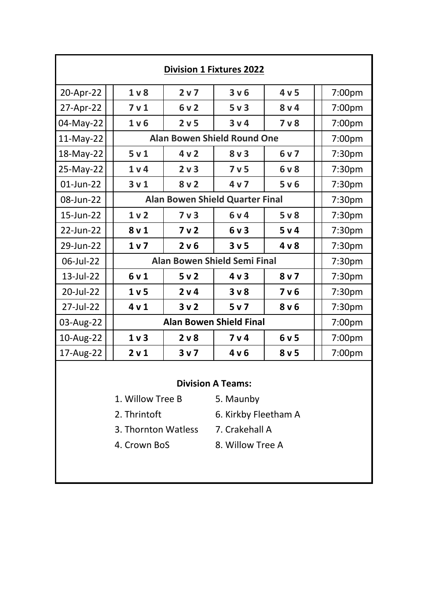| <b>Division 1 Fixtures 2022</b>                           |                                     |                                        |                                    |                  |        |                    |  |
|-----------------------------------------------------------|-------------------------------------|----------------------------------------|------------------------------------|------------------|--------|--------------------|--|
| 20-Apr-22                                                 | 1 <sub>v</sub>                      | 2 <sub>v</sub>                         | 3 v 6                              | 4v5              |        | 7:00pm             |  |
| 27-Apr-22                                                 | 7 <sub>v</sub> 1                    | 6v2                                    | 5 <sub>v</sub> 3                   | $8v$ 4           |        | 7:00pm             |  |
| 04-May-22                                                 | 1 <sub>v</sub>                      | 2 <sub>v</sub> 5                       | 3 <sub>v</sub>                     | 7 <sub>v</sub>   |        | 7:00pm             |  |
| $11-May-22$                                               |                                     |                                        | <b>Alan Bowen Shield Round One</b> |                  |        | 7:00pm             |  |
| 18-May-22                                                 | 5 <sub>v</sub> 1                    | 4v2                                    | $8v$ 3                             | 6v7              |        | 7:30pm             |  |
| 25-May-22                                                 | 1 <sub>v</sub>                      | 2 <sub>v</sub> 3                       | 7 <sub>v</sub> 5                   | 6v8              |        | 7:30pm             |  |
| $01$ -Jun-22                                              | 3 <sub>v</sub> 1                    | 8 <sub>v</sub>                         | 4 <sub>v</sub>                     | 5 v 6            |        | 7:30pm             |  |
| 08-Jun-22                                                 |                                     | <b>Alan Bowen Shield Quarter Final</b> |                                    |                  |        | 7:30pm             |  |
| 15-Jun-22                                                 | 1 <sub>v</sub>                      | 7 <sub>v</sub> 3                       | 6v4                                | 5 <sub>v</sub>   |        | 7:30pm             |  |
| 22-Jun-22                                                 | 8 <sub>v</sub> 1                    | 7 <sub>v</sub> 2                       | 6v3                                | 5 v 4            |        | 7:30pm             |  |
| 29-Jun-22                                                 | 1 <sub>v</sub>                      | 2 v 6                                  | 3 <sub>v</sub> 5                   | 4 <sub>v</sub>   |        | 7:30 <sub>pm</sub> |  |
| 06-Jul-22                                                 | <b>Alan Bowen Shield Semi Final</b> |                                        |                                    |                  |        | 7:30pm             |  |
| 13-Jul-22                                                 | 6v1                                 | 5 <sub>v</sub> 2                       | 4 <sub>v</sub>                     | 8 <sub>v</sub>   |        | 7:30pm             |  |
| 20-Jul-22                                                 | 1 <sub>v</sub> 5                    | 2 v 4                                  | 3 <sub>v</sub>                     | 7 <sub>v</sub> 6 |        | 7:30pm             |  |
| 27-Jul-22                                                 | 4v1                                 | 3v2                                    | 5 <sub>v</sub>                     | 8 <sub>v</sub> 6 |        | 7:30pm             |  |
| 03-Aug-22                                                 | <b>Alan Bowen Shield Final</b>      |                                        |                                    |                  | 7:00pm |                    |  |
| 10-Aug-22                                                 | 1 <sub>v</sub>                      | 2 <sub>v</sub>                         | 7 <sub>v</sub> 4                   | 6v5              |        | 7:00pm             |  |
| 17-Aug-22                                                 | 2 <sub>v</sub> 1                    | 3 <sub>v</sub>                         | 4v6                                | 8 <sub>v</sub> 5 |        | 7:00pm             |  |
| <b>Division A Teams:</b><br>1. Willow Tree B<br>5. Maunby |                                     |                                        |                                    |                  |        |                    |  |

- 
- 2. Thrintoft 6. Kirkby Fleetham A
- 3. Thornton Watless 7. Crakehall A
- 
- 
- 4. Crown BoS 8. Willow Tree A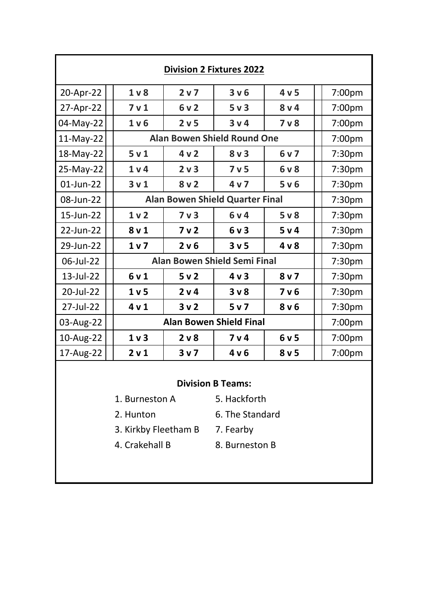| <b>Division 2 Fixtures 2022</b>             |                                        |                  |                  |                  |                    |  |  |
|---------------------------------------------|----------------------------------------|------------------|------------------|------------------|--------------------|--|--|
| 20-Apr-22                                   | 1 <sub>v</sub>                         | 2 v 7            | 3 v 6            | 4v5              | 7:00pm             |  |  |
| 27-Apr-22                                   | 7 <sub>v</sub> 1                       | 6v2              | 5 <sub>v</sub> 3 | 8 <sub>v</sub> 4 | 7:00pm             |  |  |
| 04-May-22                                   | 1 <sub>v</sub> 6                       | 2 <sub>v</sub> 5 | 3v4              | 7 <sub>v</sub>   | 7:00pm             |  |  |
| 11-May-22                                   | <b>Alan Bowen Shield Round One</b>     |                  |                  |                  |                    |  |  |
| 18-May-22                                   | 5v1                                    | 4v2              | 8v3              | 6v7              | 7:30pm             |  |  |
| 25-May-22                                   | 1 <sub>v</sub>                         | 2 <sub>v</sub> 3 | 7 <sub>v</sub> 5 | 6 v 8            | 7:30pm             |  |  |
| 01-Jun-22                                   | 3v1                                    | 8v2              | 4v7              | 5 v 6            | 7:30pm             |  |  |
| 08-Jun-22                                   | <b>Alan Bowen Shield Quarter Final</b> |                  |                  |                  |                    |  |  |
| 15-Jun-22                                   | 1 <sub>v</sub> 2                       | 7 <sub>v</sub>   | 6v4              | $5v$ 8           | 7:30pm             |  |  |
| 22-Jun-22                                   | 8 <sub>v</sub> 1                       | 7 <sub>v</sub> 2 | 6v3              | 5 v 4            | 7:30pm             |  |  |
| 29-Jun-22                                   | 1 <sub>v</sub>                         | 2 v 6            | 3 <sub>v</sub> 5 | 4 <sub>v</sub>   | 7:30 <sub>pm</sub> |  |  |
| 06-Jul-22                                   | <b>Alan Bowen Shield Semi Final</b>    |                  |                  |                  |                    |  |  |
| 13-Jul-22                                   | 6v1                                    | 5v2              | 4v3              | 8 <sub>v</sub>   | 7:30pm             |  |  |
| 20-Jul-22                                   | 1 <sub>v</sub> 5                       | 2 v 4            | 3 <sub>v</sub>   | 7 <sub>v</sub> 6 | 7:30pm             |  |  |
| 27-Jul-22                                   | 4v1                                    | 3v2              | 5 <sub>v</sub>   | 8v6              | 7:30pm             |  |  |
| <b>Alan Bowen Shield Final</b><br>03-Aug-22 |                                        |                  |                  |                  | 7:00pm             |  |  |
| 10-Aug-22                                   | 1 <sub>v</sub>                         | $2v$ 8           | 7 <sub>v</sub> 4 | 6v5              | 7:00pm             |  |  |
| 17-Aug-22                                   | 2 <sub>v</sub> 1                       | 3 <sub>v</sub>   | 4v6              | 8 <sub>v</sub> 5 | 7:00pm             |  |  |
| <b>Division B Teams:</b>                    |                                        |                  |                  |                  |                    |  |  |
| 1. Burneston A                              |                                        |                  | 5. Hackforth     |                  |                    |  |  |
| 2. Hunton                                   |                                        |                  | 6. The Standard  |                  |                    |  |  |

- 3. Kirkby Fleetham B 7. Fearby
- 4. Crakehall B 8. Burneston B
-